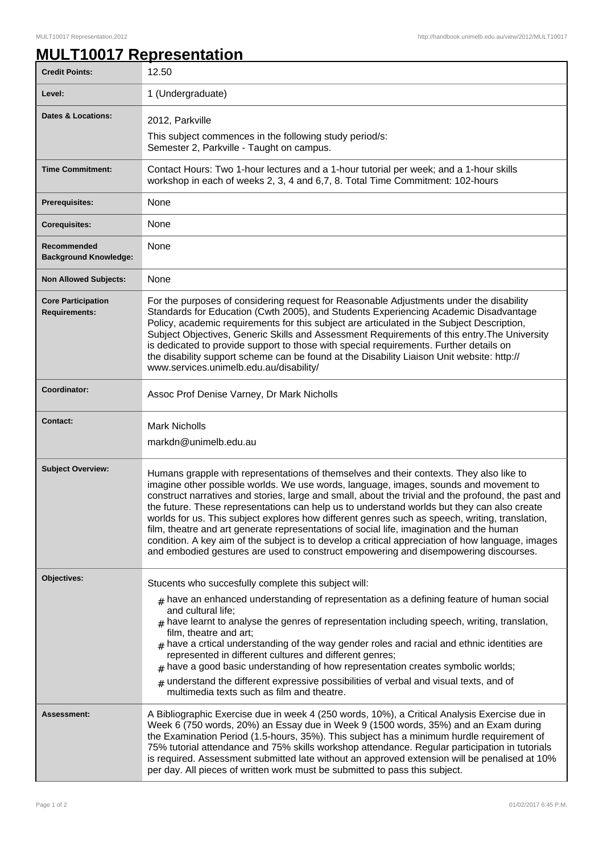## **MULT10017 Representation**

| <b>Credit Points:</b>                             | 12.50                                                                                                                                                                                                                                                                                                                                                                                                                                                                                                                                                                                                                                                                                                                                                                              |
|---------------------------------------------------|------------------------------------------------------------------------------------------------------------------------------------------------------------------------------------------------------------------------------------------------------------------------------------------------------------------------------------------------------------------------------------------------------------------------------------------------------------------------------------------------------------------------------------------------------------------------------------------------------------------------------------------------------------------------------------------------------------------------------------------------------------------------------------|
| Level:                                            | 1 (Undergraduate)                                                                                                                                                                                                                                                                                                                                                                                                                                                                                                                                                                                                                                                                                                                                                                  |
| <b>Dates &amp; Locations:</b>                     | 2012, Parkville                                                                                                                                                                                                                                                                                                                                                                                                                                                                                                                                                                                                                                                                                                                                                                    |
|                                                   | This subject commences in the following study period/s:<br>Semester 2, Parkville - Taught on campus.                                                                                                                                                                                                                                                                                                                                                                                                                                                                                                                                                                                                                                                                               |
| <b>Time Commitment:</b>                           | Contact Hours: Two 1-hour lectures and a 1-hour tutorial per week; and a 1-hour skills<br>workshop in each of weeks 2, 3, 4 and 6,7, 8. Total Time Commitment: 102-hours                                                                                                                                                                                                                                                                                                                                                                                                                                                                                                                                                                                                           |
| <b>Prerequisites:</b>                             | None                                                                                                                                                                                                                                                                                                                                                                                                                                                                                                                                                                                                                                                                                                                                                                               |
| <b>Corequisites:</b>                              | None                                                                                                                                                                                                                                                                                                                                                                                                                                                                                                                                                                                                                                                                                                                                                                               |
| Recommended<br><b>Background Knowledge:</b>       | None                                                                                                                                                                                                                                                                                                                                                                                                                                                                                                                                                                                                                                                                                                                                                                               |
| <b>Non Allowed Subjects:</b>                      | None                                                                                                                                                                                                                                                                                                                                                                                                                                                                                                                                                                                                                                                                                                                                                                               |
| <b>Core Participation</b><br><b>Requirements:</b> | For the purposes of considering request for Reasonable Adjustments under the disability<br>Standards for Education (Cwth 2005), and Students Experiencing Academic Disadvantage<br>Policy, academic requirements for this subject are articulated in the Subject Description,<br>Subject Objectives, Generic Skills and Assessment Requirements of this entry. The University<br>is dedicated to provide support to those with special requirements. Further details on<br>the disability support scheme can be found at the Disability Liaison Unit website: http://<br>www.services.unimelb.edu.au/disability/                                                                                                                                                                   |
| <b>Coordinator:</b>                               | Assoc Prof Denise Varney, Dr Mark Nicholls                                                                                                                                                                                                                                                                                                                                                                                                                                                                                                                                                                                                                                                                                                                                         |
| <b>Contact:</b>                                   | <b>Mark Nicholls</b><br>markdn@unimelb.edu.au                                                                                                                                                                                                                                                                                                                                                                                                                                                                                                                                                                                                                                                                                                                                      |
| <b>Subject Overview:</b>                          | Humans grapple with representations of themselves and their contexts. They also like to<br>imagine other possible worlds. We use words, language, images, sounds and movement to<br>construct narratives and stories, large and small, about the trivial and the profound, the past and<br>the future. These representations can help us to understand worlds but they can also create<br>worlds for us. This subject explores how different genres such as speech, writing, translation,<br>film, theatre and art generate representations of social life, imagination and the human<br>condition. A key aim of the subject is to develop a critical appreciation of how language, images<br>and embodied gestures are used to construct empowering and disempowering discourses. |
| Objectives:                                       | Stucents who succesfully complete this subject will:<br>$#$ have an enhanced understanding of representation as a defining feature of human social<br>and cultural life;<br>$#$ have learnt to analyse the genres of representation including speech, writing, translation,<br>film, theatre and art;<br>$_{\text{\#}}$ have a crtical understanding of the way gender roles and racial and ethnic identities are<br>represented in different cultures and different genres;<br>$#$ have a good basic understanding of how representation creates symbolic worlds;<br>$#$ understand the different expressive possibilities of verbal and visual texts, and of<br>multimedia texts such as film and theatre.                                                                       |
| Assessment:                                       | A Bibliographic Exercise due in week 4 (250 words, 10%), a Critical Analysis Exercise due in<br>Week 6 (750 words, 20%) an Essay due in Week 9 (1500 words, 35%) and an Exam during<br>the Examination Period (1.5-hours, 35%). This subject has a minimum hurdle requirement of<br>75% tutorial attendance and 75% skills workshop attendance. Regular participation in tutorials<br>is required. Assessment submitted late without an approved extension will be penalised at 10%<br>per day. All pieces of written work must be submitted to pass this subject.                                                                                                                                                                                                                 |